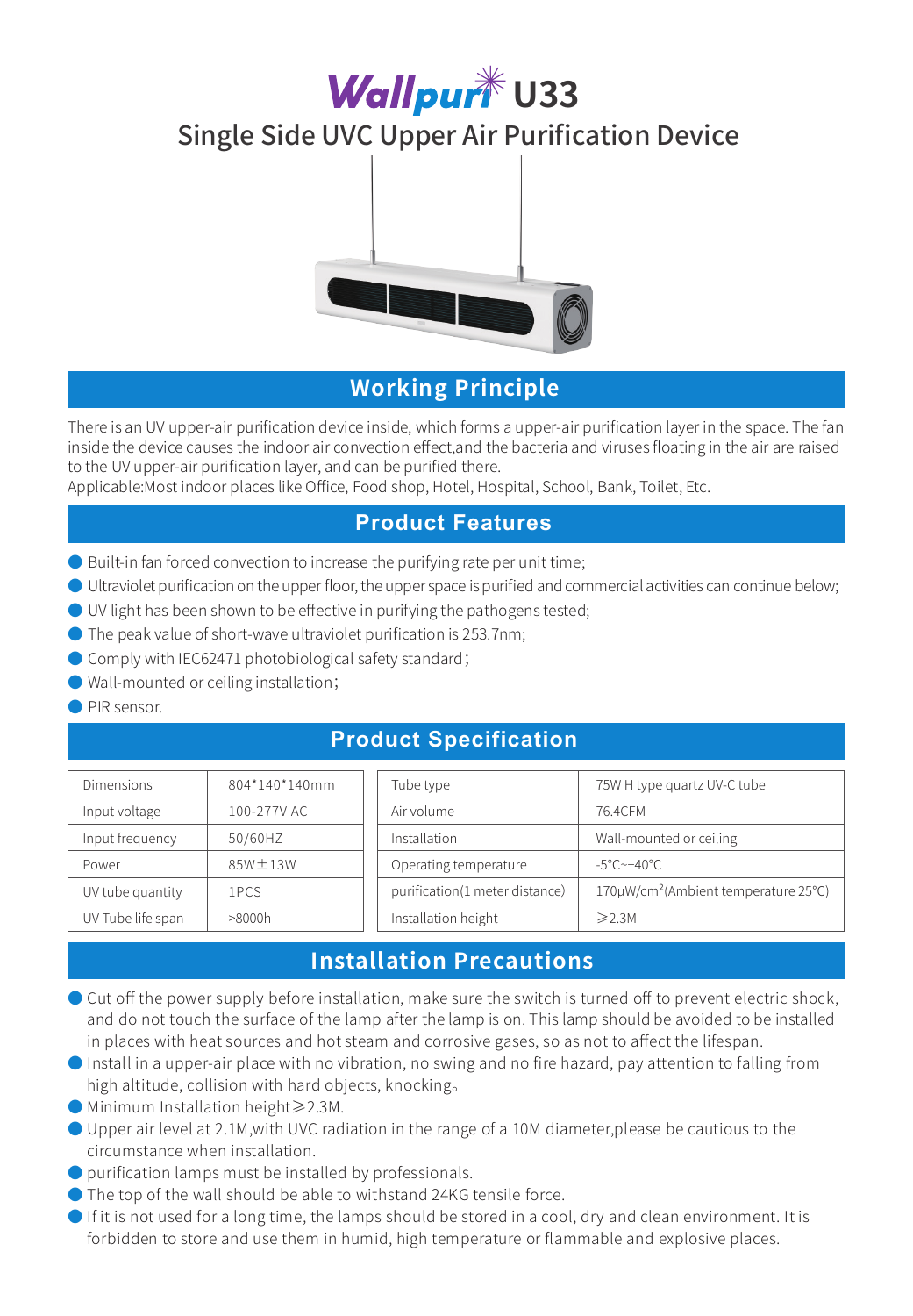# **Wallpurt** U33

# Single Side UVC Upper Air Purification Device



# **Working Principle**

There is an UV upper-air purification device inside, which forms a upper-air purification layer in the space. The fan inside the device causes the indoor air convection effect,and the bacteria and viruses floating in the air are raised to the UV upper-air purification layer, and can be purified there.

Applicable:Most indoor places like Office, Food shop, Hotel, Hospital, School, Bank, Toilet, Etc.

### **Product Features**

- Built-in fan forced convection to increase the purifying rate per unit time;
- Ultraviolet purification on the upper floor, the upper space is purified and commercial activities can continue below;
- UV light has been shown to be effective in purifying the pathogens tested;
- $\bullet$  The peak value of short-wave ultraviolet purification is 253.7nm;
- Comply with IEC62471 photobiological safety standard;
- Wall-mounted or ceiling installation;
- PIR sensor.

### **Product Specification**

| <b>Dimensions</b> | 804*140*140mm | Tube type                      | 75W H type quartz UV-C tube                      |
|-------------------|---------------|--------------------------------|--------------------------------------------------|
| Input voltage     | 100-277V AC   | Air volume                     | 76.4CFM                                          |
| Input frequency   | 50/60HZ       | Installation                   | Wall-mounted or ceiling                          |
| Power             | $85W \pm 13W$ | Operating temperature          | $-5^{\circ}$ C $\sim$ +40 $^{\circ}$ C.          |
| UV tube quantity  | 1PCS          | purification(1 meter distance) | 170µW/cm <sup>2</sup> (Ambient temperature 25°C) |
| UV Tube life span | >8000h        | Installation height            | $\geqslant$ 2.3M                                 |

# **Installation Precautions**

- Cut off the power supply before installation, make sure the switch is turned off to prevent electric shock, and do not touch the surface of the lamp after the lamp is on. This lamp should be avoided to be installed in places with heat sources and hot steam and corrosive gases, so as not to affect the lifespan.
- Install in a upper-air place with no vibration, no swing and no fire hazard, pay attention to falling from high altitude, collision with hard objects, knocking。
- Minimum Installation height≥2.3M.
- Upper air level at 2.1M,with UVC radiation in the range of a 10M diameter,please be cautious to the circumstance when installation.
- purification lamps must be installed by professionals.
- The top of the wall should be able to withstand 24KG tensile force.
- If it is not used for a long time, the lamps should be stored in a cool, dry and clean environment. It is forbidden to store and use them in humid, high temperature or flammable and explosive places.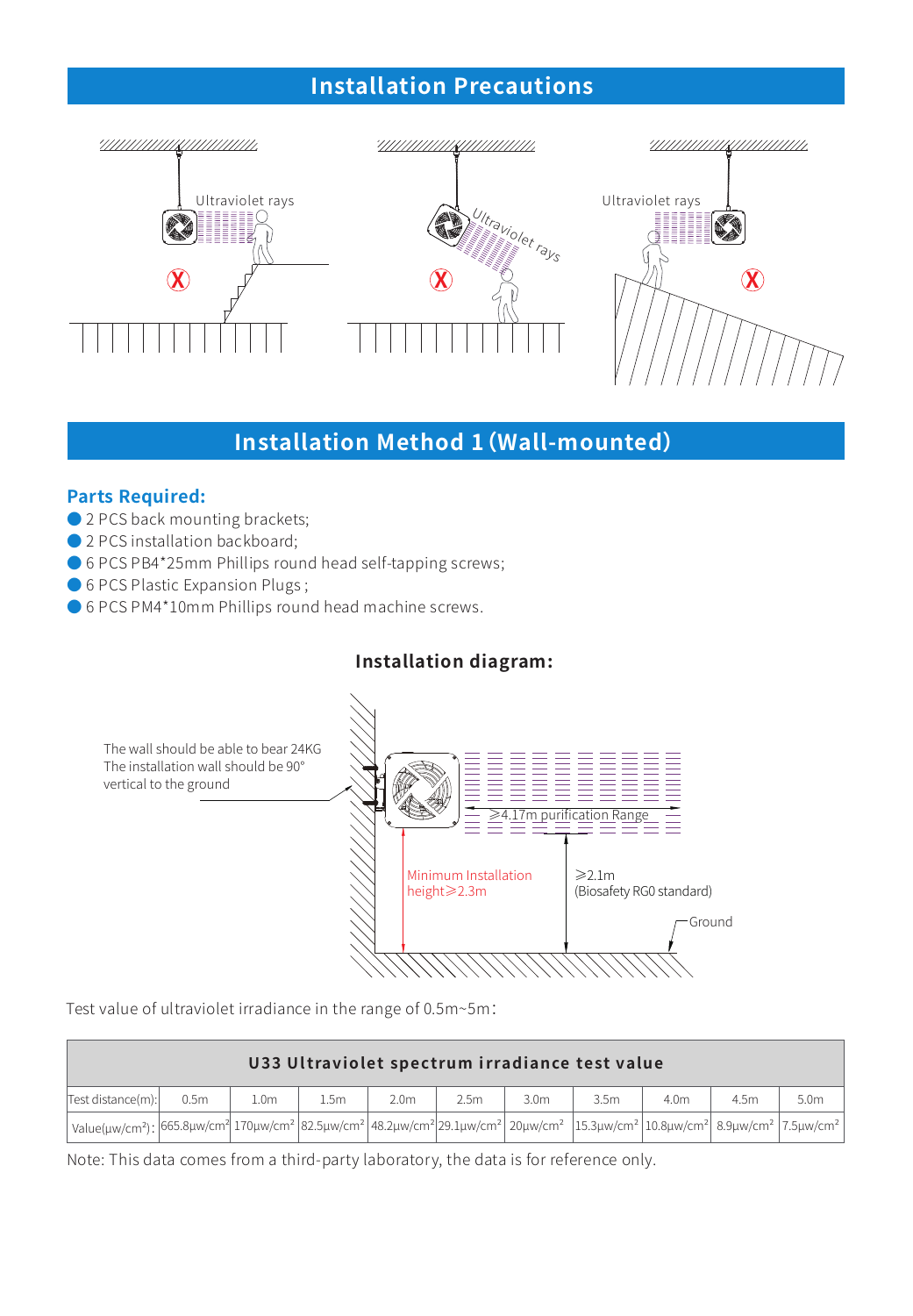# **Installation Precautions**



# **Installation Method 1(Wall-mounted)**

#### **Parts Required:**

- 2 PCS back mounting brackets;
- 2 PCS installation backboard;
- 6 PCS PB4\*25mm Phillips round head self-tapping screws;
- 6 PCS Plastic Expansion Plugs;
- 6 PCS PM4\*10mm Phillips round head machine screws.

### **Installation diagram:**



Test value of ultraviolet irradiance in the range of 0.5m~5m:

| U33 Ultraviolet spectrum irradiance test value                                                                                            |                  |                  |      |                  |                  |                  |                  |                  |      |      |
|-------------------------------------------------------------------------------------------------------------------------------------------|------------------|------------------|------|------------------|------------------|------------------|------------------|------------------|------|------|
| Test distance(m):                                                                                                                         | 0.5 <sub>m</sub> | 1.0 <sub>m</sub> | 1.5m | 2.0 <sub>m</sub> | 2.5 <sub>m</sub> | 3.0 <sub>m</sub> | 3.5 <sub>m</sub> | 4.0 <sub>m</sub> | 4.5m | 5.0m |
| .<br>  value(uw/cm²);  665.8µw/cm²  170µw/cm²  82.5µw/cm²  48.2µw/cm² 29.1µw/cm²   20µw/cm²  15.3µw/cm²  10.8µw/cm²  8.9µw/cm²  7.5µw/cm² |                  |                  |      |                  |                  |                  |                  |                  |      |      |

Note: This data comes from a third-party laboratory, the data is for reference only.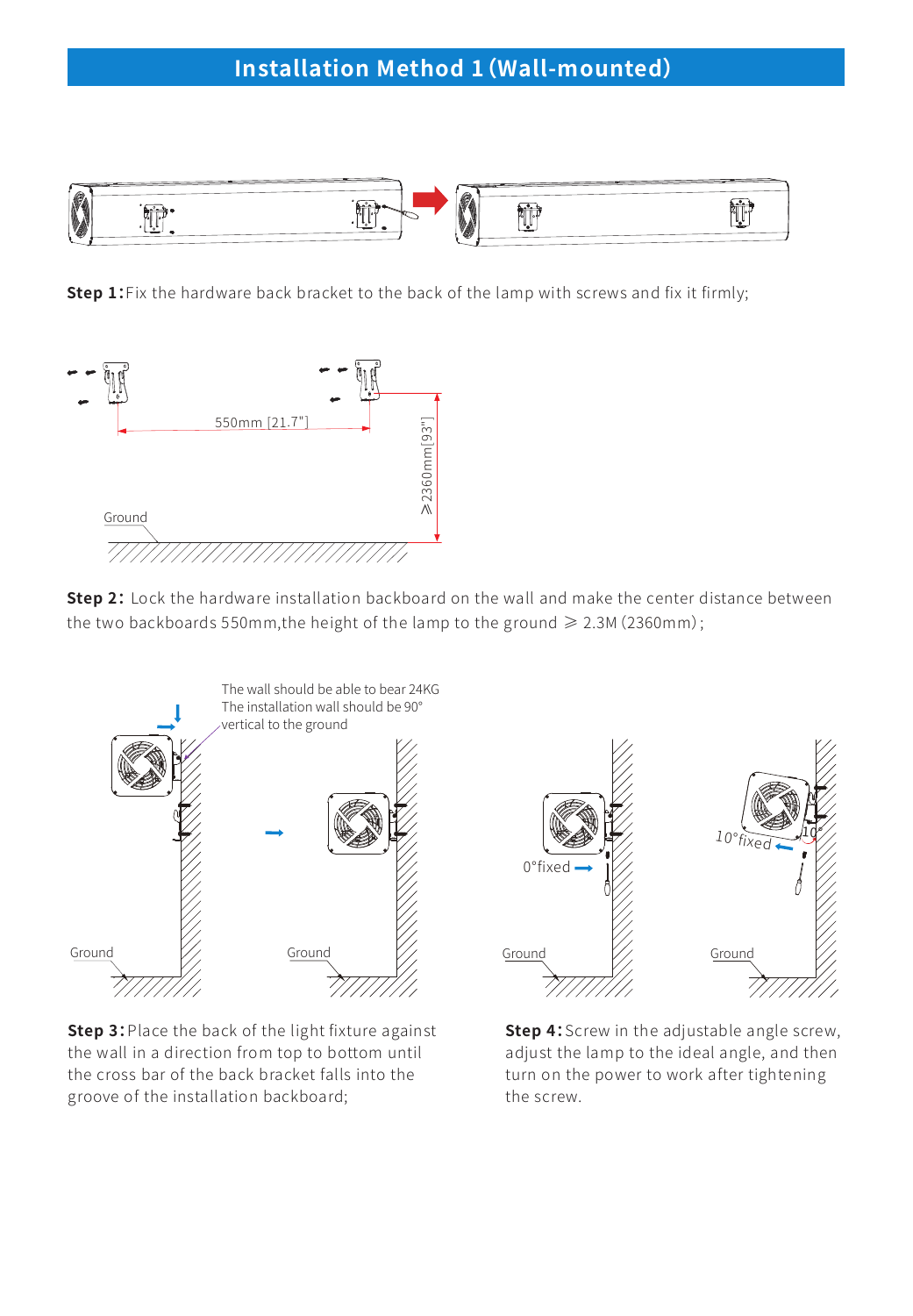

**Step 1:** Fix the hardware back bracket to the back of the lamp with screws and fix it firmly;



**Step 2:** Lock the hardware installation backboard on the wall and make the center distance between the two backboards 550mm,the height of the lamp to the ground  $\geq 2.3$ M (2360mm);



**Step 3:**Place the back of the light fixture against the wall in a direction from top to bottom until the cross bar of the back bracket falls into the groove of the installation backboard;



**Step 4:**Screw in the adjustable angle screw, adjust the lamp to the ideal angle, and then turn on the power to work after tightening the screw.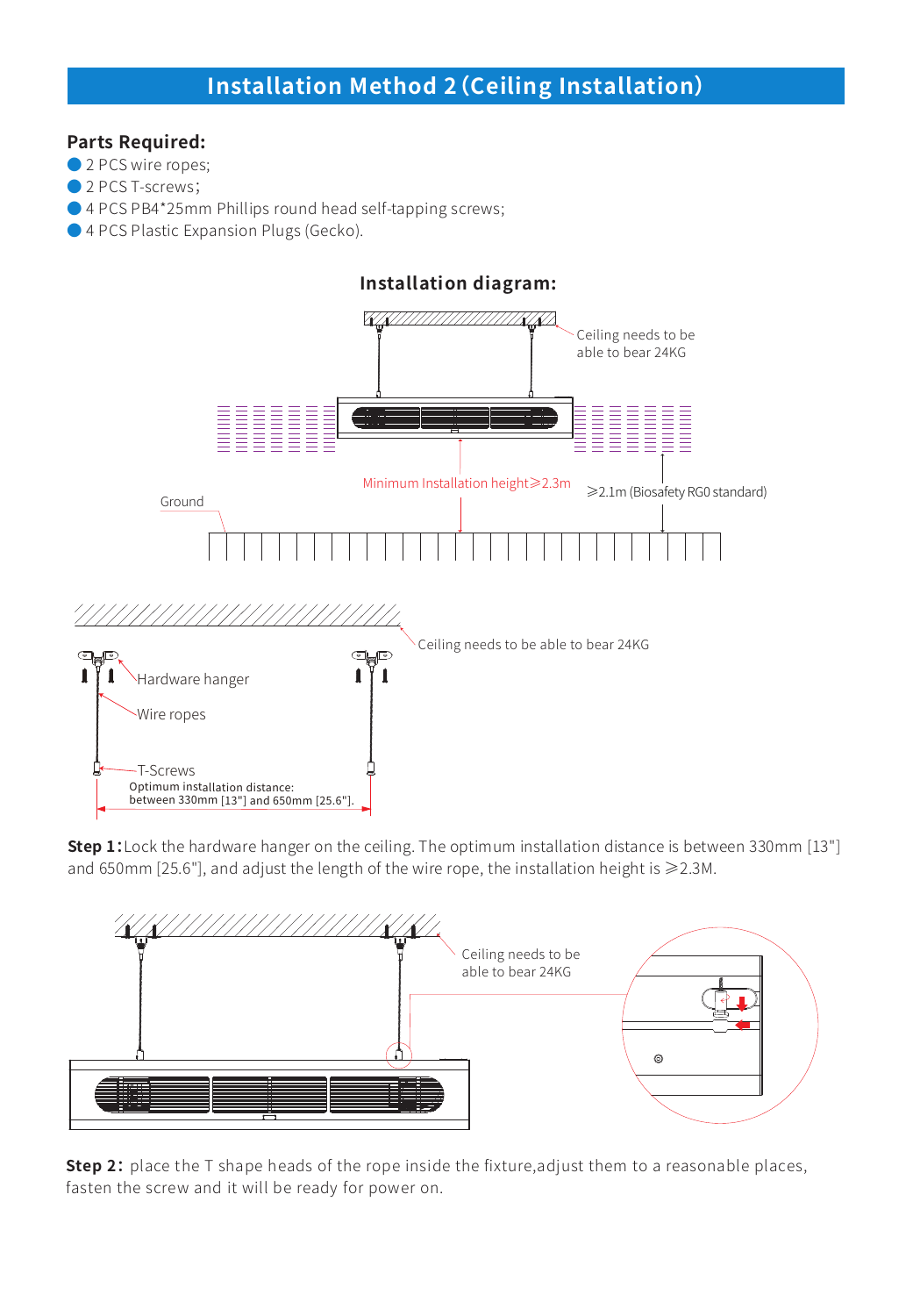# **Installation Method 2(Ceiling Installation)**

#### **Parts Required:**

● 2 PCS wire ropes;

- 2 PCS T-screws;
- 4 PCS PB4\*25mm Phillips round head self-tapping screws;
- 4 PCS Plastic Expansion Plugs (Gecko).



**Step 1:**Lock the hardware hanger on the ceiling. The optimum installation distance is between 330mm [13"] and 650mm [25.6"], and adjust the length of the wire rope, the installation height is ≥2.3M.



**Step 2:** place the T shape heads of the rope inside the fixture, adjust them to a reasonable places, fasten the screw and it will be ready for power on.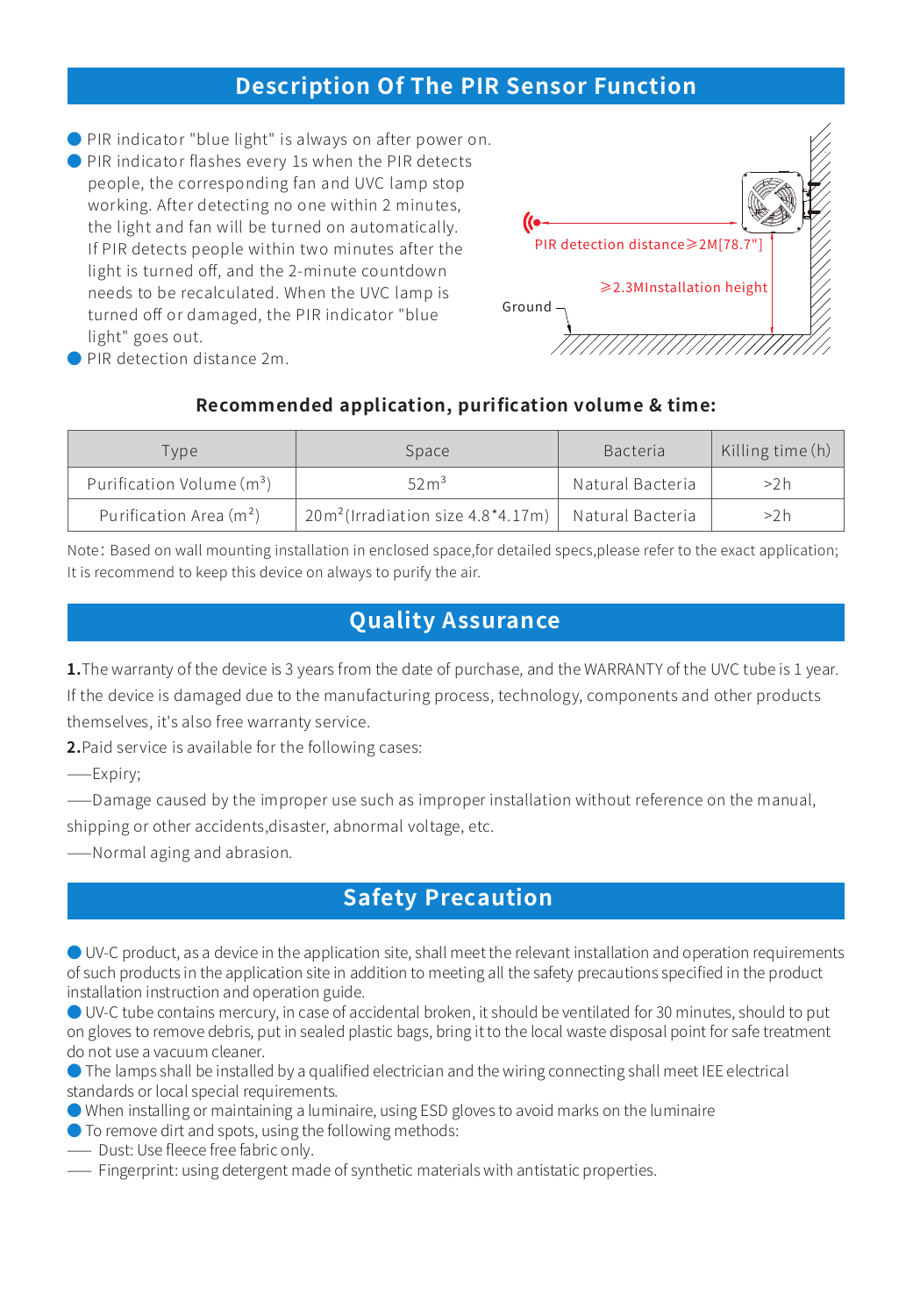## **Description Of The PIR Sensor Function**

● PIR indicator "blue light" is always on after power on.

● PIR indicator flashes every 1s when the PIR detects people, the corresponding fan and UVC lamp stop working. After detecting no one within 2 minutes, the light and fan will be turned on automatically. If PIR detects people within two minutes after the light is turned off, and the 2-minute countdown needs to be recalculated. When the UVC lamp is turned off or damaged, the PIR indicator "blue light" goes out.



● PIR detection distance 2m.

### **Recommended application, purification volume & time:**

| Tvpe                                  | Space                                            | <b>Bacteria</b>  | Killing time (h) |  |
|---------------------------------------|--------------------------------------------------|------------------|------------------|--|
| Purification Volume (m <sup>3</sup> ) | 52m <sup>3</sup>                                 | Natural Bacteria | >2h              |  |
| Purification Area (m <sup>2</sup> )   | 20m <sup>2</sup> (Irradiation size $4.8*4.17m$ ) | Natural Bacteria | >2h              |  |

Note: Based on wall mounting installation in enclosed space,for detailed specs,please refer to the exact application; It is recommend to keep this device on always to purify the air.

# **Quality Assurance**

**1.**The warranty of the device is 3 years from the date of purchase, and the WARRANTY of the UVC tube is 1 year. If the device is damaged due to the manufacturing process, technology, components and other products themselves, it's also free warranty service.

**2.**Paid service is available for the following cases:

⸺Expiry;

⸺Damage caused by the improper use such as improper installation without reference on the manual, shipping or other accidents,disaster, abnormal voltage, etc.

⸺Normal aging and abrasion.

# **Safety Precaution**

● UV-C product, as a device in the application site, shall meet the relevant installation and operation requirements of such products in the application site in addition to meeting all the safety precautions specified in the product installation instruction and operation guide.

● UV-C tube contains mercury, in case of accidental broken, it should be ventilated for 30 minutes, should to put on gloves to remove debris, put in sealed plastic bags, bring it to the local waste disposal point for safe treatment do not use a vacuum cleaner.

● The lamps shall be installed by a qualified electrician and the wiring connecting shall meet IEE electrical standards or local special requirements.

- When installing or maintaining a luminaire, using ESD gloves to avoid marks on the luminaire
- To remove dirt and spots, using the following methods:
- ⸺ Dust: Use fleece free fabric only.
- ⸺ Fingerprint: using detergent made of synthetic materials with antistatic properties.